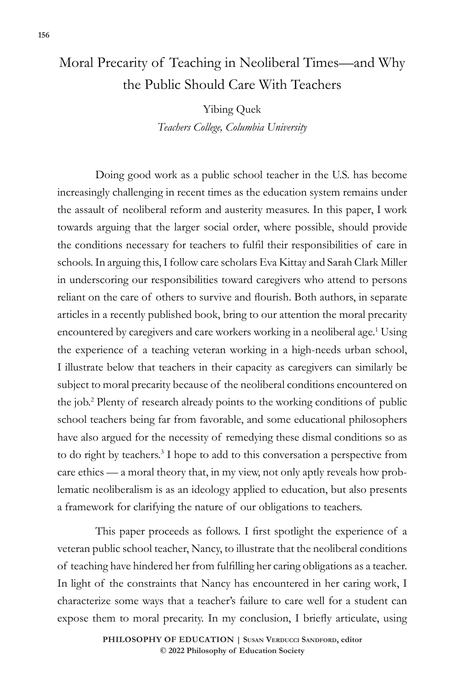## Moral Precarity of Teaching in Neoliberal Times—and Why the Public Should Care With Teachers

Yibing Quek *Teachers College, Columbia University*

Doing good work as a public school teacher in the U.S. has become increasingly challenging in recent times as the education system remains under the assault of neoliberal reform and austerity measures. In this paper, I work towards arguing that the larger social order, where possible, should provide the conditions necessary for teachers to fulfil their responsibilities of care in schools. In arguing this, I follow care scholars Eva Kittay and Sarah Clark Miller in underscoring our responsibilities toward caregivers who attend to persons reliant on the care of others to survive and flourish. Both authors, in separate articles in a recently published book, bring to our attention the moral precarity encountered by caregivers and care workers working in a neoliberal age.<sup>1</sup> Using the experience of a teaching veteran working in a high-needs urban school, I illustrate below that teachers in their capacity as caregivers can similarly be subject to moral precarity because of the neoliberal conditions encountered on the job.2 Plenty of research already points to the working conditions of public school teachers being far from favorable, and some educational philosophers have also argued for the necessity of remedying these dismal conditions so as to do right by teachers.<sup>3</sup> I hope to add to this conversation a perspective from care ethics — a moral theory that, in my view, not only aptly reveals how problematic neoliberalism is as an ideology applied to education, but also presents a framework for clarifying the nature of our obligations to teachers.

This paper proceeds as follows. I first spotlight the experience of a veteran public school teacher, Nancy, to illustrate that the neoliberal conditions of teaching have hindered her from fulfilling her caring obligations as a teacher. In light of the constraints that Nancy has encountered in her caring work, I characterize some ways that a teacher's failure to care well for a student can expose them to moral precarity. In my conclusion, I briefly articulate, using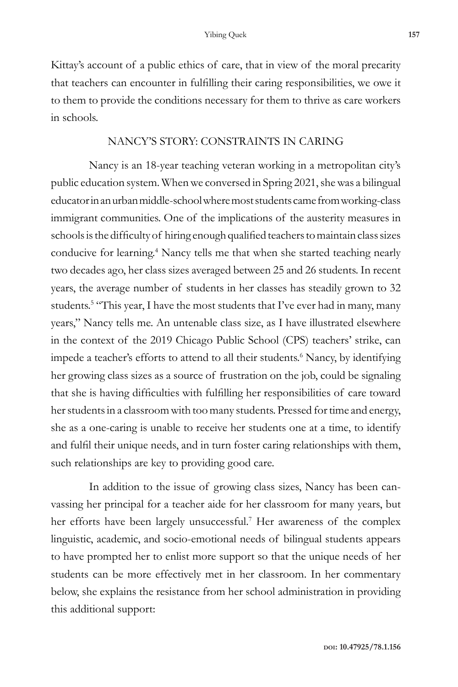Kittay's account of a public ethics of care, that in view of the moral precarity that teachers can encounter in fulfilling their caring responsibilities, we owe it to them to provide the conditions necessary for them to thrive as care workers in schools.

## NANCY'S STORY: CONSTRAINTS IN CARING

Nancy is an 18-year teaching veteran working in a metropolitan city's public education system. When we conversed in Spring 2021, she was a bilingual educator in an urban middle-school where most students came from working-class immigrant communities. One of the implications of the austerity measures in schools is the difficulty of hiring enough qualified teachers to maintain class sizes conducive for learning.<sup>4</sup> Nancy tells me that when she started teaching nearly two decades ago, her class sizes averaged between 25 and 26 students. In recent years, the average number of students in her classes has steadily grown to 32 students.<sup>5</sup> "This year, I have the most students that I've ever had in many, many years," Nancy tells me. An untenable class size, as I have illustrated elsewhere in the context of the 2019 Chicago Public School (CPS) teachers' strike, can impede a teacher's efforts to attend to all their students.<sup>6</sup> Nancy, by identifying her growing class sizes as a source of frustration on the job, could be signaling that she is having difficulties with fulfilling her responsibilities of care toward her students in a classroom with too many students. Pressed for time and energy, she as a one-caring is unable to receive her students one at a time, to identify and fulfil their unique needs, and in turn foster caring relationships with them, such relationships are key to providing good care.

In addition to the issue of growing class sizes, Nancy has been canvassing her principal for a teacher aide for her classroom for many years, but her efforts have been largely unsuccessful.7 Her awareness of the complex linguistic, academic, and socio-emotional needs of bilingual students appears to have prompted her to enlist more support so that the unique needs of her students can be more effectively met in her classroom. In her commentary below, she explains the resistance from her school administration in providing this additional support: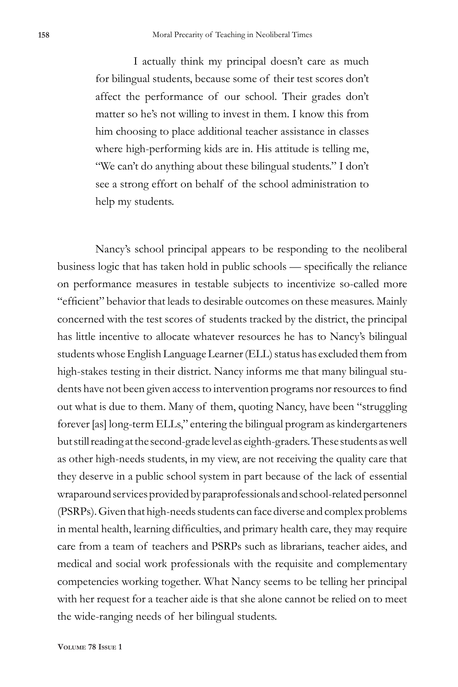I actually think my principal doesn't care as much for bilingual students, because some of their test scores don't affect the performance of our school. Their grades don't matter so he's not willing to invest in them. I know this from him choosing to place additional teacher assistance in classes where high-performing kids are in. His attitude is telling me, "We can't do anything about these bilingual students." I don't see a strong effort on behalf of the school administration to help my students.

Nancy's school principal appears to be responding to the neoliberal business logic that has taken hold in public schools — specifically the reliance on performance measures in testable subjects to incentivize so-called more "efficient" behavior that leads to desirable outcomes on these measures. Mainly concerned with the test scores of students tracked by the district, the principal has little incentive to allocate whatever resources he has to Nancy's bilingual students whose English Language Learner (ELL) status has excluded them from high-stakes testing in their district. Nancy informs me that many bilingual students have not been given access to intervention programs nor resources to find out what is due to them. Many of them, quoting Nancy, have been "struggling forever [as] long-term ELLs," entering the bilingual program as kindergarteners but still reading at the second-grade level as eighth-graders. These students as well as other high-needs students, in my view, are not receiving the quality care that they deserve in a public school system in part because of the lack of essential wraparound services provided by paraprofessionals and school-related personnel (PSRPs). Given that high-needs students can face diverse and complex problems in mental health, learning difficulties, and primary health care, they may require care from a team of teachers and PSRPs such as librarians, teacher aides, and medical and social work professionals with the requisite and complementary competencies working together. What Nancy seems to be telling her principal with her request for a teacher aide is that she alone cannot be relied on to meet the wide-ranging needs of her bilingual students.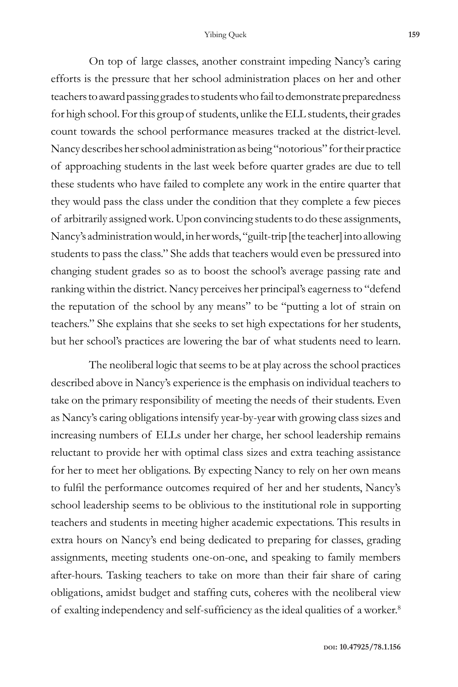On top of large classes, another constraint impeding Nancy's caring efforts is the pressure that her school administration places on her and other teachers to award passing grades to students who fail to demonstrate preparedness for high school. For this group of students, unlike the ELL students, their grades count towards the school performance measures tracked at the district-level. Nancy describes her school administration as being "notorious" for their practice of approaching students in the last week before quarter grades are due to tell these students who have failed to complete any work in the entire quarter that they would pass the class under the condition that they complete a few pieces of arbitrarily assigned work. Upon convincing students to do these assignments, Nancy's administration would, in her words, "guilt-trip [the teacher] into allowing students to pass the class." She adds that teachers would even be pressured into changing student grades so as to boost the school's average passing rate and ranking within the district. Nancy perceives her principal's eagerness to "defend the reputation of the school by any means" to be "putting a lot of strain on teachers." She explains that she seeks to set high expectations for her students, but her school's practices are lowering the bar of what students need to learn.

The neoliberal logic that seems to be at play across the school practices described above in Nancy's experience is the emphasis on individual teachers to take on the primary responsibility of meeting the needs of their students. Even as Nancy's caring obligations intensify year-by-year with growing class sizes and increasing numbers of ELLs under her charge, her school leadership remains reluctant to provide her with optimal class sizes and extra teaching assistance for her to meet her obligations. By expecting Nancy to rely on her own means to fulfil the performance outcomes required of her and her students, Nancy's school leadership seems to be oblivious to the institutional role in supporting teachers and students in meeting higher academic expectations. This results in extra hours on Nancy's end being dedicated to preparing for classes, grading assignments, meeting students one-on-one, and speaking to family members after-hours. Tasking teachers to take on more than their fair share of caring obligations, amidst budget and staffing cuts, coheres with the neoliberal view of exalting independency and self-sufficiency as the ideal qualities of a worker.8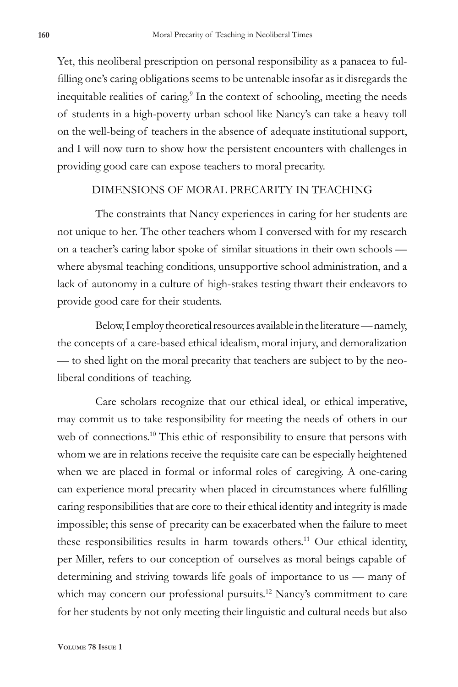Yet, this neoliberal prescription on personal responsibility as a panacea to fulfilling one's caring obligations seems to be untenable insofar as it disregards the inequitable realities of caring.<sup>9</sup> In the context of schooling, meeting the needs of students in a high-poverty urban school like Nancy's can take a heavy toll on the well-being of teachers in the absence of adequate institutional support, and I will now turn to show how the persistent encounters with challenges in providing good care can expose teachers to moral precarity.

## DIMENSIONS OF MORAL PRECARITY IN TEACHING

The constraints that Nancy experiences in caring for her students are not unique to her. The other teachers whom I conversed with for my research on a teacher's caring labor spoke of similar situations in their own schools where abysmal teaching conditions, unsupportive school administration, and a lack of autonomy in a culture of high-stakes testing thwart their endeavors to provide good care for their students.

Below, I employ theoretical resources available in the literature — namely, the concepts of a care-based ethical idealism, moral injury, and demoralization — to shed light on the moral precarity that teachers are subject to by the neoliberal conditions of teaching.

Care scholars recognize that our ethical ideal, or ethical imperative, may commit us to take responsibility for meeting the needs of others in our web of connections.<sup>10</sup> This ethic of responsibility to ensure that persons with whom we are in relations receive the requisite care can be especially heightened when we are placed in formal or informal roles of caregiving. A one-caring can experience moral precarity when placed in circumstances where fulfilling caring responsibilities that are core to their ethical identity and integrity is made impossible; this sense of precarity can be exacerbated when the failure to meet these responsibilities results in harm towards others.<sup>11</sup> Our ethical identity, per Miller, refers to our conception of ourselves as moral beings capable of determining and striving towards life goals of importance to us — many of which may concern our professional pursuits.<sup>12</sup> Nancy's commitment to care for her students by not only meeting their linguistic and cultural needs but also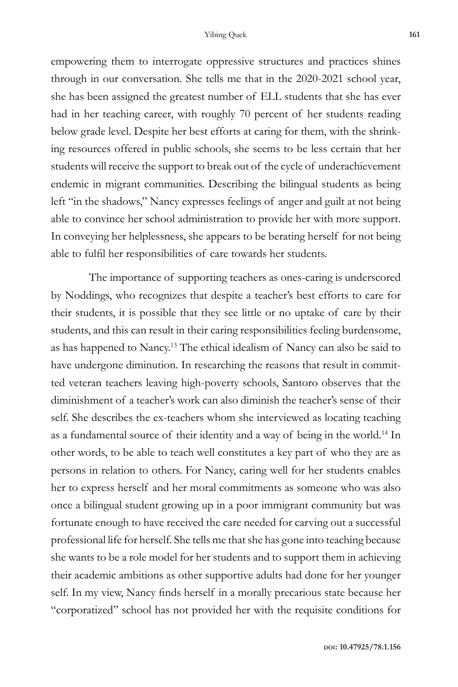empowering them to interrogate oppressive structures and practices shines through in our conversation. She tells me that in the 2020-2021 school year, she has been assigned the greatest number of ELL students that she has ever had in her teaching career, with roughly 70 percent of her students reading below grade level. Despite her best efforts at caring for them, with the shrinking resources offered in public schools, she seems to be less certain that her students will receive the support to break out of the cycle of underachievement endemic in migrant communities. Describing the bilingual students as being left "in the shadows," Nancy expresses feelings of anger and guilt at not being able to convince her school administration to provide her with more support. In conveying her helplessness, she appears to be berating herself for not being able to fulfil her responsibilities of care towards her students.

The importance of supporting teachers as ones-caring is underscored by Noddings, who recognizes that despite a teacher's best efforts to care for their students, it is possible that they see little or no uptake of care by their students, and this can result in their caring responsibilities feeling burdensome, as has happened to Nancy.13 The ethical idealism of Nancy can also be said to have undergone diminution. In researching the reasons that result in committed veteran teachers leaving high-poverty schools, Santoro observes that the diminishment of a teacher's work can also diminish the teacher's sense of their self. She describes the ex-teachers whom she interviewed as locating teaching as a fundamental source of their identity and a way of being in the world.14 In other words, to be able to teach well constitutes a key part of who they are as persons in relation to others. For Nancy, caring well for her students enables her to express herself and her moral commitments as someone who was also once a bilingual student growing up in a poor immigrant community but was fortunate enough to have received the care needed for carving out a successful professional life for herself. She tells me that she has gone into teaching because she wants to be a role model for her students and to support them in achieving their academic ambitions as other supportive adults had done for her younger self. In my view, Nancy finds herself in a morally precarious state because her "corporatized" school has not provided her with the requisite conditions for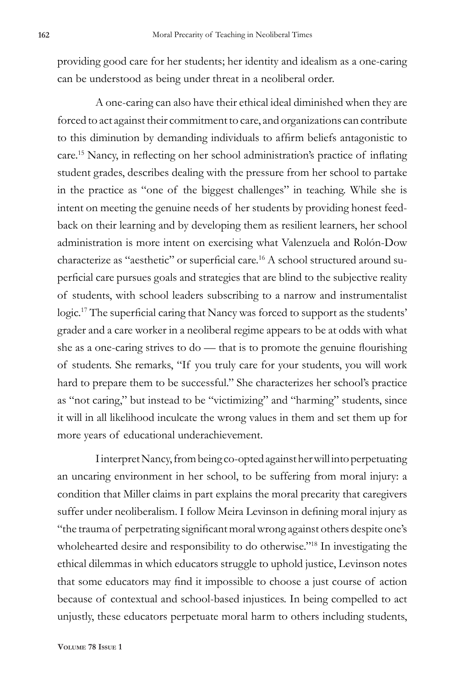providing good care for her students; her identity and idealism as a one-caring can be understood as being under threat in a neoliberal order.

A one-caring can also have their ethical ideal diminished when they are forced to act against their commitment to care, and organizations can contribute to this diminution by demanding individuals to affirm beliefs antagonistic to care.15 Nancy, in reflecting on her school administration's practice of inflating student grades, describes dealing with the pressure from her school to partake in the practice as "one of the biggest challenges" in teaching. While she is intent on meeting the genuine needs of her students by providing honest feedback on their learning and by developing them as resilient learners, her school administration is more intent on exercising what Valenzuela and Rolón-Dow characterize as "aesthetic" or superficial care.16 A school structured around superficial care pursues goals and strategies that are blind to the subjective reality of students, with school leaders subscribing to a narrow and instrumentalist logic.<sup>17</sup> The superficial caring that Nancy was forced to support as the students' grader and a care worker in a neoliberal regime appears to be at odds with what she as a one-caring strives to do — that is to promote the genuine flourishing of students. She remarks, "If you truly care for your students, you will work hard to prepare them to be successful." She characterizes her school's practice as "not caring," but instead to be "victimizing" and "harming" students, since it will in all likelihood inculcate the wrong values in them and set them up for more years of educational underachievement.

I interpret Nancy, from being co-opted against her will into perpetuating an uncaring environment in her school, to be suffering from moral injury: a condition that Miller claims in part explains the moral precarity that caregivers suffer under neoliberalism. I follow Meira Levinson in defining moral injury as "the trauma of perpetrating significant moral wrong against others despite one's wholehearted desire and responsibility to do otherwise."<sup>18</sup> In investigating the ethical dilemmas in which educators struggle to uphold justice, Levinson notes that some educators may find it impossible to choose a just course of action because of contextual and school-based injustices. In being compelled to act unjustly, these educators perpetuate moral harm to others including students,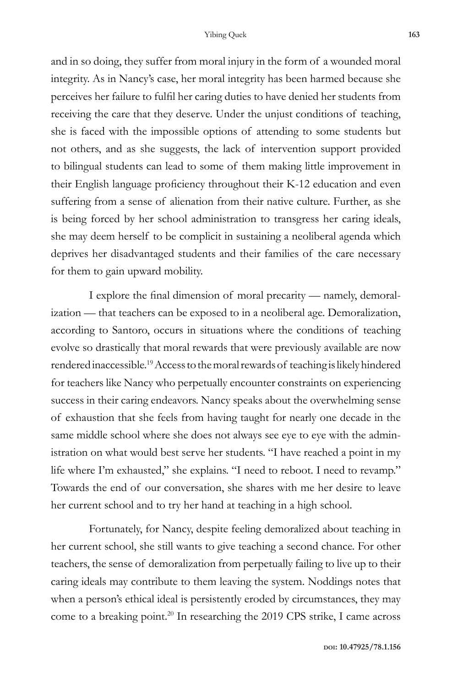and in so doing, they suffer from moral injury in the form of a wounded moral integrity. As in Nancy's case, her moral integrity has been harmed because she perceives her failure to fulfil her caring duties to have denied her students from receiving the care that they deserve. Under the unjust conditions of teaching, she is faced with the impossible options of attending to some students but not others, and as she suggests, the lack of intervention support provided to bilingual students can lead to some of them making little improvement in their English language proficiency throughout their K-12 education and even suffering from a sense of alienation from their native culture. Further, as she is being forced by her school administration to transgress her caring ideals, she may deem herself to be complicit in sustaining a neoliberal agenda which deprives her disadvantaged students and their families of the care necessary for them to gain upward mobility.

I explore the final dimension of moral precarity — namely, demoralization — that teachers can be exposed to in a neoliberal age. Demoralization, according to Santoro, occurs in situations where the conditions of teaching evolve so drastically that moral rewards that were previously available are now rendered inaccessible.19 Access to the moral rewards of teaching is likely hindered for teachers like Nancy who perpetually encounter constraints on experiencing success in their caring endeavors. Nancy speaks about the overwhelming sense of exhaustion that she feels from having taught for nearly one decade in the same middle school where she does not always see eye to eye with the administration on what would best serve her students. "I have reached a point in my life where I'm exhausted," she explains. "I need to reboot. I need to revamp." Towards the end of our conversation, she shares with me her desire to leave her current school and to try her hand at teaching in a high school.

Fortunately, for Nancy, despite feeling demoralized about teaching in her current school, she still wants to give teaching a second chance. For other teachers, the sense of demoralization from perpetually failing to live up to their caring ideals may contribute to them leaving the system. Noddings notes that when a person's ethical ideal is persistently eroded by circumstances, they may come to a breaking point.<sup>20</sup> In researching the 2019 CPS strike, I came across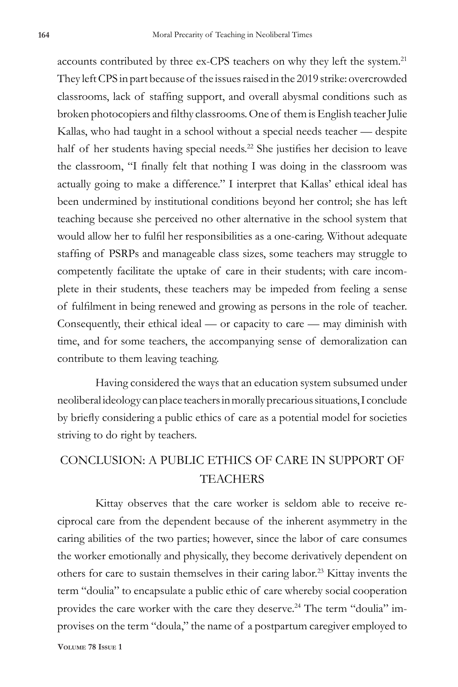accounts contributed by three ex-CPS teachers on why they left the system.<sup>21</sup> They left CPS in part because of the issues raised in the 2019 strike: overcrowded classrooms, lack of staffing support, and overall abysmal conditions such as broken photocopiers and filthy classrooms. One of them is English teacher Julie Kallas, who had taught in a school without a special needs teacher — despite half of her students having special needs.<sup>22</sup> She justifies her decision to leave the classroom, "I finally felt that nothing I was doing in the classroom was actually going to make a difference." I interpret that Kallas' ethical ideal has been undermined by institutional conditions beyond her control; she has left teaching because she perceived no other alternative in the school system that would allow her to fulfil her responsibilities as a one-caring. Without adequate staffing of PSRPs and manageable class sizes, some teachers may struggle to competently facilitate the uptake of care in their students; with care incomplete in their students, these teachers may be impeded from feeling a sense of fulfilment in being renewed and growing as persons in the role of teacher. Consequently, their ethical ideal — or capacity to care — may diminish with time, and for some teachers, the accompanying sense of demoralization can contribute to them leaving teaching.

Having considered the ways that an education system subsumed under neoliberal ideology can place teachers in morally precarious situations, I conclude by briefly considering a public ethics of care as a potential model for societies striving to do right by teachers.

## CONCLUSION: A PUBLIC ETHICS OF CARE IN SUPPORT OF TEACHERS

Kittay observes that the care worker is seldom able to receive reciprocal care from the dependent because of the inherent asymmetry in the caring abilities of the two parties; however, since the labor of care consumes the worker emotionally and physically, they become derivatively dependent on others for care to sustain themselves in their caring labor.<sup>23</sup> Kittay invents the term "doulia" to encapsulate a public ethic of care whereby social cooperation provides the care worker with the care they deserve.<sup>24</sup> The term "doulia" improvises on the term "doula," the name of a postpartum caregiver employed to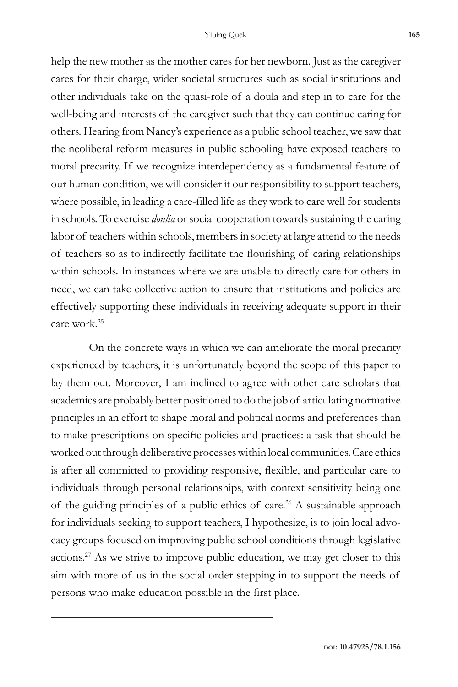help the new mother as the mother cares for her newborn. Just as the caregiver cares for their charge, wider societal structures such as social institutions and other individuals take on the quasi-role of a doula and step in to care for the well-being and interests of the caregiver such that they can continue caring for others. Hearing from Nancy's experience as a public school teacher, we saw that the neoliberal reform measures in public schooling have exposed teachers to moral precarity. If we recognize interdependency as a fundamental feature of our human condition, we will consider it our responsibility to support teachers, where possible, in leading a care-filled life as they work to care well for students in schools. To exercise *doulia* or social cooperation towards sustaining the caring labor of teachers within schools, members in society at large attend to the needs of teachers so as to indirectly facilitate the flourishing of caring relationships within schools. In instances where we are unable to directly care for others in need, we can take collective action to ensure that institutions and policies are effectively supporting these individuals in receiving adequate support in their care work.25

On the concrete ways in which we can ameliorate the moral precarity experienced by teachers, it is unfortunately beyond the scope of this paper to lay them out. Moreover, I am inclined to agree with other care scholars that academics are probably better positioned to do the job of articulating normative principles in an effort to shape moral and political norms and preferences than to make prescriptions on specific policies and practices: a task that should be worked out through deliberative processes within local communities. Care ethics is after all committed to providing responsive, flexible, and particular care to individuals through personal relationships, with context sensitivity being one of the guiding principles of a public ethics of care.<sup>26</sup> A sustainable approach for individuals seeking to support teachers, I hypothesize, is to join local advocacy groups focused on improving public school conditions through legislative actions.27 As we strive to improve public education, we may get closer to this aim with more of us in the social order stepping in to support the needs of persons who make education possible in the first place.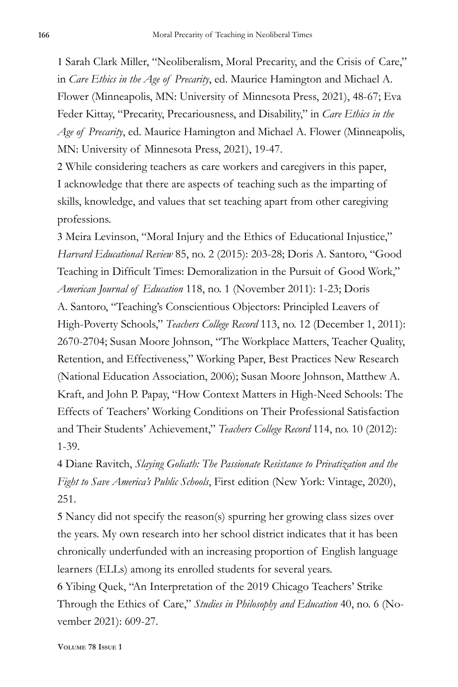1 Sarah Clark Miller, "Neoliberalism, Moral Precarity, and the Crisis of Care," in *Care Ethics in the Age of Precarity*, ed. Maurice Hamington and Michael A. Flower (Minneapolis, MN: University of Minnesota Press, 2021), 48-67; Eva Feder Kittay, "Precarity, Precariousness, and Disability," in *Care Ethics in the Age of Precarity*, ed. Maurice Hamington and Michael A. Flower (Minneapolis, MN: University of Minnesota Press, 2021), 19-47.

2 While considering teachers as care workers and caregivers in this paper, I acknowledge that there are aspects of teaching such as the imparting of skills, knowledge, and values that set teaching apart from other caregiving professions.

3 Meira Levinson, "Moral Injury and the Ethics of Educational Injustice," *Harvard Educational Review* 85, no. 2 (2015): 203-28; Doris A. Santoro, "Good Teaching in Difficult Times: Demoralization in the Pursuit of Good Work," *American Journal of Education* 118, no. 1 (November 2011): 1-23; Doris A. Santoro, "Teaching's Conscientious Objectors: Principled Leavers of High-Poverty Schools," *Teachers College Record* 113, no. 12 (December 1, 2011): 2670-2704; Susan Moore Johnson, "The Workplace Matters, Teacher Quality, Retention, and Effectiveness," Working Paper, Best Practices New Research (National Education Association, 2006); Susan Moore Johnson, Matthew A. Kraft, and John P. Papay, "How Context Matters in High-Need Schools: The Effects of Teachers' Working Conditions on Their Professional Satisfaction and Their Students' Achievement," *Teachers College Record* 114, no. 10 (2012): 1-39.

4 Diane Ravitch, *Slaying Goliath: The Passionate Resistance to Privatization and the Fight to Save America's Public Schools*, First edition (New York: Vintage, 2020), 251.

5 Nancy did not specify the reason(s) spurring her growing class sizes over the years. My own research into her school district indicates that it has been chronically underfunded with an increasing proportion of English language learners (ELLs) among its enrolled students for several years.

6 Yibing Quek, "An Interpretation of the 2019 Chicago Teachers' Strike Through the Ethics of Care," *Studies in Philosophy and Education* 40, no. 6 (November 2021): 609-27.

**Volume 78 Issue 1**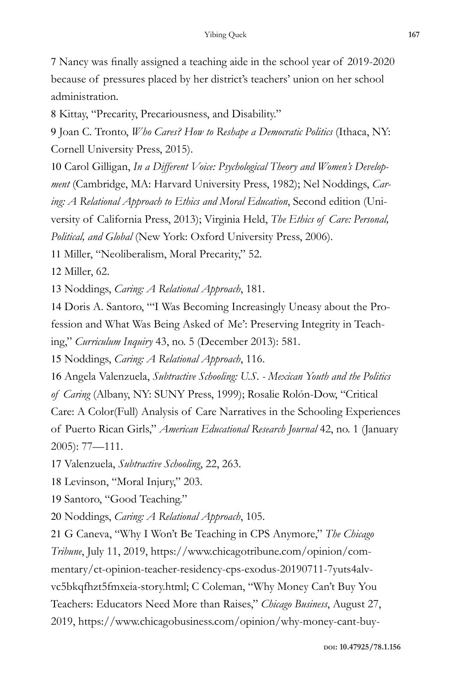7 Nancy was finally assigned a teaching aide in the school year of 2019-2020 because of pressures placed by her district's teachers' union on her school administration.

8 Kittay, "Precarity, Precariousness, and Disability."

9 Joan C. Tronto, *Who Cares? How to Reshape a Democratic Politics* (Ithaca, NY: Cornell University Press, 2015).

10 Carol Gilligan, *In a Different Voice: Psychological Theory and Women's Development* (Cambridge, MA: Harvard University Press, 1982); Nel Noddings, *Caring: A Relational Approach to Ethics and Moral Education*, Second edition (University of California Press, 2013); Virginia Held, *The Ethics of Care: Personal, Political, and Global* (New York: Oxford University Press, 2006).

11 Miller, "Neoliberalism, Moral Precarity," 52.

12 Miller, 62.

13 Noddings, *Caring: A Relational Approach*, 181.

14 Doris A. Santoro, "'I Was Becoming Increasingly Uneasy about the Profession and What Was Being Asked of Me': Preserving Integrity in Teaching," *Curriculum Inquiry* 43, no. 5 (December 2013): 581.

15 Noddings, *Caring: A Relational Approach*, 116.

16 Angela Valenzuela, *Subtractive Schooling: U.S. - Mexican Youth and the Politics of Caring* (Albany, NY: SUNY Press, 1999); Rosalie Rolón-Dow, "Critical Care: A Color(Full) Analysis of Care Narratives in the Schooling Experiences of Puerto Rican Girls," *American Educational Research Journal* 42, no. 1 (January 2005): 77—111.

17 Valenzuela, *Subtractive Schooling*, 22, 263.

18 Levinson, "Moral Injury," 203.

19 Santoro, "Good Teaching."

20 Noddings, *Caring: A Relational Approach*, 105.

21 G Caneva, "Why I Won't Be Teaching in CPS Anymore," *The Chicago Tribune*, July 11, 2019, https://www.chicagotribune.com/opinion/commentary/ct-opinion-teacher-residency-cps-exodus-20190711-7yuts4alvvc5bkqfhzt5fmxeia-story.html; C Coleman, "Why Money Can't Buy You Teachers: Educators Need More than Raises," *Chicago Business*, August 27, 2019, https://www.chicagobusiness.com/opinion/why-money-cant-buy-